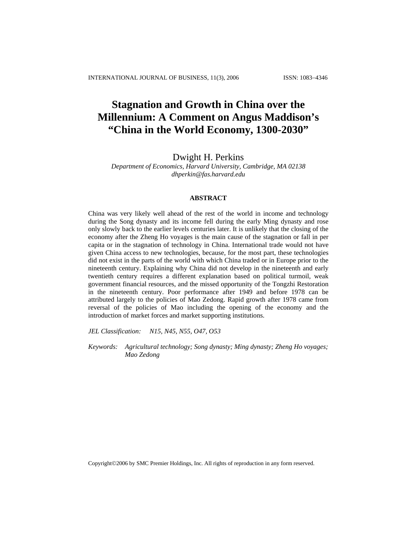# **Stagnation and Growth in China over the Millennium: A Comment on Angus Maddison's "China in the World Economy, 1300-2030"**

# Dwight H. Perkins

*Department of Economics, Harvard University, Cambridge, MA 02138 dhperkin@fas.harvard.edu*

# **ABSTRACT**

China was very likely well ahead of the rest of the world in income and technology during the Song dynasty and its income fell during the early Ming dynasty and rose only slowly back to the earlier levels centuries later. It is unlikely that the closing of the economy after the Zheng Ho voyages is the main cause of the stagnation or fall in per capita or in the stagnation of technology in China. International trade would not have given China access to new technologies, because, for the most part, these technologies did not exist in the parts of the world with which China traded or in Europe prior to the nineteenth century. Explaining why China did not develop in the nineteenth and early twentieth century requires a different explanation based on political turmoil, weak government financial resources, and the missed opportunity of the Tongzhi Restoration in the nineteenth century. Poor performance after 1949 and before 1978 can be attributed largely to the policies of Mao Zedong. Rapid growth after 1978 came from reversal of the policies of Mao including the opening of the economy and the introduction of market forces and market supporting institutions.

*JEL Classification: N15, N45, N55, O47, O53*

*Keywords: Agricultural technology; Song dynasty; Ming dynasty; Zheng Ho voyages; Mao Zedong*

Copyright©2006 by SMC Premier Holdings, Inc. All rights of reproduction in any form reserved.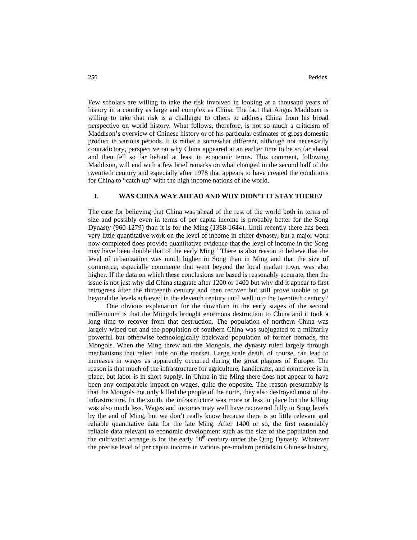Few scholars are willing to take the risk involved in looking at a thousand years of history in a country as large and complex as China. The fact that Angus Maddison is willing to take that risk is a challenge to others to address China from his broad perspective on world history. What follows, therefore, is not so much a criticism of Maddison's overview of Chinese history or of his particular estimates of gross domestic product in various periods. It is rather a somewhat different, although not necessarily contradictory, perspective on why China appeared at an earlier time to be so far ahead and then fell so far behind at least in economic terms. This comment, following Maddison, will end with a few brief remarks on what changed in the second half of the twentieth century and especially after 1978 that appears to have created the conditions for China to "catch up" with the high income nations of the world.

## **I. WAS CHINA WAY AHEAD AND WHY DIDN'T IT STAY THERE?**

The case for believing that China was ahead of the rest of the world both in terms of size and possibly even in terms of per capita income is probably better for the Song Dynasty (960-1279) than it is for the Ming (1368-1644). Until recently there has been very little quantitative work on the level of income in either dynasty, but a major work now completed does provide quantitative evidence that the level of income in the Song may have been double that of the early Ming.<sup>1</sup> There is also reason to believe that the level of urbanization was much higher in Song than in Ming and that the size of commerce, especially commerce that went beyond the local market town, was also higher. If the data on which these conclusions are based is reasonably accurate, then the issue is not just why did China stagnate after 1200 or 1400 but why did it appear to first retrogress after the thirteenth century and then recover but still prove unable to go beyond the levels achieved in the eleventh century until well into the twentieth century?

One obvious explanation for the downturn in the early stages of the second millennium is that the Mongols brought enormous destruction to China and it took a long time to recover from that destruction. The population of northern China was largely wiped out and the population of southern China was subjugated to a militarily powerful but otherwise technologically backward population of former nomads, the Mongols. When the Ming threw out the Mongols, the dynasty ruled largely through mechanisms that relied little on the market. Large scale death, of course, can lead to increases in wages as apparently occurred during the great plagues of Europe. The reason is that much of the infrastructure for agriculture, handicrafts, and commerce is in place, but labor is in short supply. In China in the Ming there does not appear to have been any comparable impact on wages, quite the opposite. The reason presumably is that the Mongols not only killed the people of the north, they also destroyed most of the infrastructure. In the south, the infrastructure was more or less in place but the killing was also much less. Wages and incomes may well have recovered fully to Song levels by the end of Ming, but we don't really know because there is so little relevant and reliable quantitative data for the late Ming. After 1400 or so, the first reasonably reliable data relevant to economic development such as the size of the population and the cultivated acreage is for the early  $18<sup>th</sup>$  century under the Qing Dynasty. Whatever the precise level of per capita income in various pre-modern periods in Chinese history,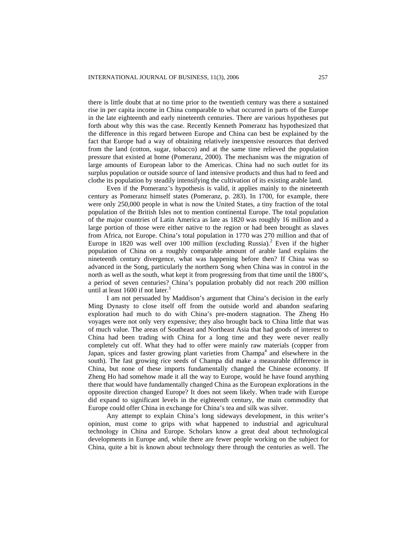there is little doubt that at no time prior to the twentieth century was there a sustained rise in per capita income in China comparable to what occurred in parts of the Europe in the late eighteenth and early nineteenth centuries. There are various hypotheses put forth about why this was the case. Recently Kenneth Pomeranz has hypothesized that the difference in this regard between Europe and China can best be explained by the fact that Europe had a way of obtaining relatively inexpensive resources that derived from the land (cotton, sugar, tobacco) and at the same time relieved the population pressure that existed at home (Pomeranz, 2000). The mechanism was the migration of large amounts of European labor to the Americas. China had no such outlet for its surplus population or outside source of land intensive products and thus had to feed and clothe its population by steadily intensifying the cultivation of its existing arable land.

Even if the Pomeranz's hypothesis is valid, it applies mainly to the nineteenth century as Pomeranz himself states (Pomeranz, p. 283). In 1700, for example, there were only 250,000 people in what is now the United States, a tiny fraction of the total population of the British Isles not to mention continental Europe. The total population of the major countries of Latin America as late as 1820 was roughly 16 million and a large portion of those were either native to the region or had been brought as slaves from Africa, not Europe. China's total population in 1770 was 270 million and that of Europe in 1820 was well over 100 million (excluding Russia). 2 Even if the higher population of China on a roughly comparable amount of arable land explains the nineteenth century divergence, what was happening before then? If China was so advanced in the Song, particularly the northern Song when China was in control in the north as well as the south, what kept it from progressing from that time until the 1800's, a period of seven centuries? China's population probably did not reach 200 million until at least 1600 if not later. $3$ 

I am not persuaded by Maddison's argument that China's decision in the early Ming Dynasty to close itself off from the outside world and abandon seafaring exploration had much to do with China's pre-modern stagnation. The Zheng Ho voyages were not only very expensive; they also brought back to China little that was of much value. The areas of Southeast and Northeast Asia that had goods of interest to China had been trading with China for a long time and they were never really completely cut off. What they had to offer were mainly raw materials (copper from Japan, spices and faster growing plant varieties from Champa<sup>4</sup> and elsewhere in the south). The fast growing rice seeds of Champa did make a measurable difference in China, but none of these imports fundamentally changed the Chinese economy. If Zheng Ho had somehow made it all the way to Europe, would he have found anything there that would have fundamentally changed China as the European explorations in the opposite direction changed Europe? It does not seem likely. When trade with Europe did expand to significant levels in the eighteenth century, the main commodity that Europe could offer China in exchange for China's tea and silk was silver.

Any attempt to explain China's long sideways development, in this writer's opinion, must come to grips with what happened to industrial and agricultural technology in China and Europe. Scholars know a great deal about technological developments in Europe and, while there are fewer people working on the subject for China, quite a bit is known about technology there through the centuries as well. The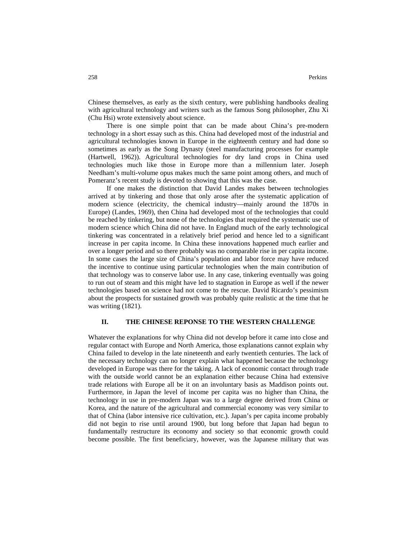Chinese themselves, as early as the sixth century, were publishing handbooks dealing with agricultural technology and writers such as the famous Song philosopher, Zhu Xi (Chu Hsi) wrote extensively about science.

There is one simple point that can be made about China's pre-modern technology in a short essay such as this. China had developed most of the industrial and agricultural technologies known in Europe in the eighteenth century and had done so sometimes as early as the Song Dynasty (steel manufacturing processes for example (Hartwell, 1962)). Agricultural technologies for dry land crops in China used technologies much like those in Europe more than a millennium later. Joseph Needham's multi-volume opus makes much the same point among others, and much of Pomeranz's recent study is devoted to showing that this was the case.

If one makes the distinction that David Landes makes between technologies arrived at by tinkering and those that only arose after the systematic application of modern science (electricity, the chemical industry—mainly around the 1870s in Europe) (Landes, 1969), then China had developed most of the technologies that could be reached by tinkering, but none of the technologies that required the systematic use of modern science which China did not have. In England much of the early technological tinkering was concentrated in a relatively brief period and hence led to a significant increase in per capita income. In China these innovations happened much earlier and over a longer period and so there probably was no comparable rise in per capita income. In some cases the large size of China's population and labor force may have reduced the incentive to continue using particular technologies when the main contribution of that technology was to conserve labor use. In any case, tinkering eventually was going to run out of steam and this might have led to stagnation in Europe as well if the newer technologies based on science had not come to the rescue. David Ricardo's pessimism about the prospects for sustained growth was probably quite realistic at the time that he was writing  $(1821)$ .

#### **II. THE CHINESE REPONSE TO THE WESTERN CHALLENGE**

Whatever the explanations for why China did not develop before it came into close and regular contact with Europe and North America, those explanations cannot explain why China failed to develop in the late nineteenth and early twentieth centuries. The lack of the necessary technology can no longer explain what happened because the technology developed in Europe was there for the taking. A lack of economic contact through trade with the outside world cannot be an explanation either because China had extensive trade relations with Europe all be it on an involuntary basis as Maddison points out. Furthermore, in Japan the level of income per capita was no higher than China, the technology in use in pre-modern Japan was to a large degree derived from China or Korea, and the nature of the agricultural and commercial economy was very similar to that of China (labor intensive rice cultivation, etc.). Japan's per capita income probably did not begin to rise until around 1900, but long before that Japan had begun to fundamentally restructure its economy and society so that economic growth could become possible. The first beneficiary, however, was the Japanese military that was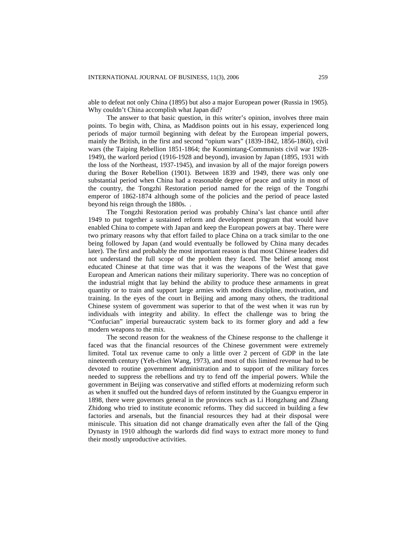able to defeat not only China (1895) but also a major European power (Russia in 1905). Why couldn't China accomplish what Japan did?

The answer to that basic question, in this writer's opinion, involves three main points. To begin with, China, as Maddison points out in his essay, experienced long periods of major turmoil beginning with defeat by the European imperial powers, mainly the British, in the first and second "opium wars" (1839-1842, 1856-1860), civil wars (the Taiping Rebellion 1851-1864; the Kuomintang-Communists civil war 1928- 1949), the warlord period (1916-1928 and beyond), invasion by Japan (1895, 1931 with the loss of the Northeast, 1937-1945), and invasion by all of the major foreign powers during the Boxer Rebellion (1901). Between 1839 and 1949, there was only one substantial period when China had a reasonable degree of peace and unity in most of the country, the Tongzhi Restoration period named for the reign of the Tongzhi emperor of 1862-1874 although some of the policies and the period of peace lasted beyond his reign through the 1880s. .

The Tongzhi Restoration period was probably China's last chance until after 1949 to put together a sustained reform and development program that would have enabled China to compete with Japan and keep the European powers at bay. There were two primary reasons why that effort failed to place China on a track similar to the one being followed by Japan (and would eventually be followed by China many decades later). The first and probably the most important reason is that most Chinese leaders did not understand the full scope of the problem they faced. The belief among most educated Chinese at that time was that it was the weapons of the West that gave European and American nations their military superiority. There was no conception of the industrial might that lay behind the ability to produce these armaments in great quantity or to train and support large armies with modern discipline, motivation, and training. In the eyes of the court in Beijing and among many others, the traditional Chinese system of government was superior to that of the west when it was run by individuals with integrity and ability. In effect the challenge was to bring the "Confucian" imperial bureaucratic system back to its former glory and add a few modern weapons to the mix.

The second reason for the weakness of the Chinese response to the challenge it faced was that the financial resources of the Chinese government were extremely limited. Total tax revenue came to only a little over 2 percent of GDP in the late nineteenth century (Yeh-chien Wang, 1973), and most of this limited revenue had to be devoted to routine government administration and to support of the military forces needed to suppress the rebellions and try to fend off the imperial powers. While the government in Beijing was conservative and stifled efforts at modernizing reform such as when it snuffed out the hundred days of reform instituted by the Guangxu emperor in 1898, there were governors general in the provinces such as Li Hongzhang and Zhang Zhidong who tried to institute economic reforms. They did succeed in building a few factories and arsenals, but the financial resources they had at their disposal were miniscule. This situation did not change dramatically even after the fall of the Qing Dynasty in 1910 although the warlords did find ways to extract more money to fund their mostly unproductive activities.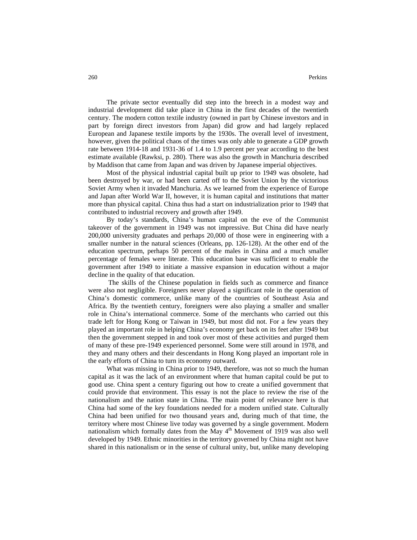The private sector eventually did step into the breech in a modest way and industrial development did take place in China in the first decades of the twentieth century. The modern cotton textile industry (owned in part by Chinese investors and in part by foreign direct investors from Japan) did grow and had largely replaced European and Japanese textile imports by the 1930s. The overall level of investment, however, given the political chaos of the times was only able to generate a GDP growth rate between 1914-18 and 1931-36 of 1.4 to 1.9 percent per year according to the best estimate available (Rawksi, p. 280). There was also the growth in Manchuria described by Maddison that came from Japan and was driven by Japanese imperial objectives.

Most of the physical industrial capital built up prior to 1949 was obsolete, had been destroyed by war, or had been carted off to the Soviet Union by the victorious Soviet Army when it invaded Manchuria. As we learned from the experience of Europe and Japan after World War II, however, it is human capital and institutions that matter more than physical capital. China thus had a start on industrialization prior to 1949 that contributed to industrial recovery and growth after 1949.

By today's standards, China's human capital on the eve of the Communist takeover of the government in 1949 was not impressive. But China did have nearly 200,000 university graduates and perhaps 20,000 of those were in engineering with a smaller number in the natural sciences (Orleans, pp. 126-128). At the other end of the education spectrum, perhaps 50 percent of the males in China and a much smaller percentage of females were literate. This education base was sufficient to enable the government after 1949 to initiate a massive expansion in education without a major decline in the quality of that education.

The skills of the Chinese population in fields such as commerce and finance were also not negligible. Foreigners never played a significant role in the operation of China's domestic commerce, unlike many of the countries of Southeast Asia and Africa. By the twentieth century, foreigners were also playing a smaller and smaller role in China's international commerce. Some of the merchants who carried out this trade left for Hong Kong or Taiwan in 1949, but most did not. For a few years they played an important role in helping China's economy get back on its feet after 1949 but then the government stepped in and took over most of these activities and purged them of many of these pre-1949 experienced personnel. Some were still around in 1978, and they and many others and their descendants in Hong Kong played an important role in the early efforts of China to turn its economy outward.

What was missing in China prior to 1949, therefore, was not so much the human capital as it was the lack of an environment where that human capital could be put to good use. China spent a century figuring out how to create a unified government that could provide that environment. This essay is not the place to review the rise of the nationalism and the nation state in China. The main point of relevance here is that China had some of the key foundations needed for a modern unified state. Culturally China had been unified for two thousand years and, during much of that time, the territory where most Chinese live today was governed by a single government. Modern nationalism which formally dates from the May 4<sup>th</sup> Movement of 1919 was also well developed by 1949. Ethnic minorities in the territory governed by China might not have shared in this nationalism or in the sense of cultural unity, but, unlike many developing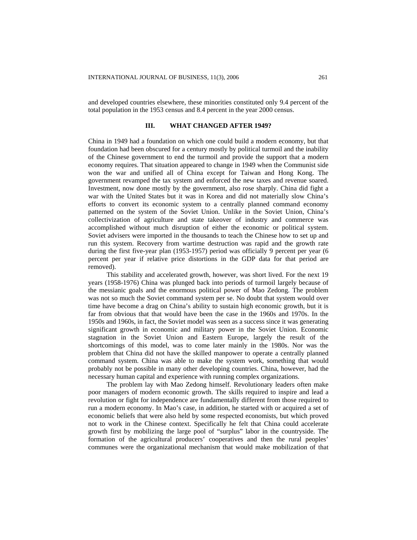and developed countries elsewhere, these minorities constituted only 9.4 percent of the total population in the 1953 census and 8.4 percent in the year 2000 census.

# **III. WHAT CHANGED AFTER 1949?**

China in 1949 had a foundation on which one could build a modern economy, but that foundation had been obscured for a century mostly by political turmoil and the inability of the Chinese government to end the turmoil and provide the support that a modern economy requires. That situation appeared to change in 1949 when the Communist side won the war and unified all of China except for Taiwan and Hong Kong. The government revamped the tax system and enforced the new taxes and revenue soared. Investment, now done mostly by the government, also rose sharply. China did fight a war with the United States but it was in Korea and did not materially slow China's efforts to convert its economic system to a centrally planned command economy patterned on the system of the Soviet Union. Unlike in the Soviet Union, China's collectivization of agriculture and state takeover of industry and commerce was accomplished without much disruption of either the economic or political system. Soviet advisers were imported in the thousands to teach the Chinese how to set up and run this system. Recovery from wartime destruction was rapid and the growth rate during the first five-year plan (1953-1957) period was officially 9 percent per year (6 percent per year if relative price distortions in the GDP data for that period are removed).

This stability and accelerated growth, however, was short lived. For the next 19 years (1958-1976) China was plunged back into periods of turmoil largely because of the messianic goals and the enormous political power of Mao Zedong. The problem was not so much the Soviet command system per se. No doubt that system would over time have become a drag on China's ability to sustain high economic growth, but it is far from obvious that that would have been the case in the 1960s and 1970s. In the 1950s and 1960s, in fact, the Soviet model was seen as a success since it was generating significant growth in economic and military power in the Soviet Union. Economic stagnation in the Soviet Union and Eastern Europe, largely the result of the shortcomings of this model, was to come later mainly in the 1980s. Nor was the problem that China did not have the skilled manpower to operate a centrally planned command system. China was able to make the system work, something that would probably not be possible in many other developing countries. China, however, had the necessary human capital and experience with running complex organizations.

The problem lay with Mao Zedong himself. Revolutionary leaders often make poor managers of modern economic growth. The skills required to inspire and lead a revolution or fight for independence are fundamentally different from those required to run a modern economy. In Mao's case, in addition, he started with or acquired a set of economic beliefs that were also held by some respected economists, but which proved not to work in the Chinese context. Specifically he felt that China could accelerate growth first by mobilizing the large pool of "surplus" labor in the countryside. The formation of the agricultural producers' cooperatives and then the rural peoples' communes were the organizational mechanism that would make mobilization of that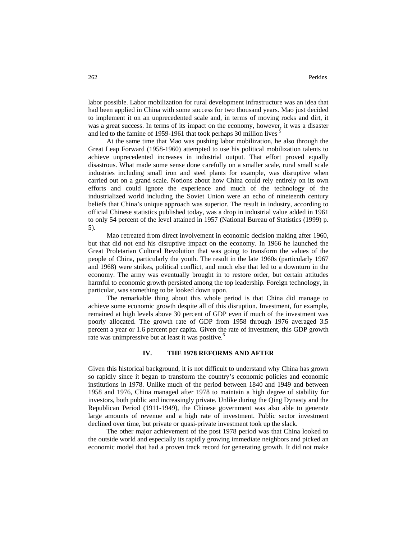labor possible. Labor mobilization for rural development infrastructure was an idea that had been applied in China with some success for two thousand years. Mao just decided to implement it on an unprecedented scale and, in terms of moving rocks and dirt, it was a great success. In terms of its impact on the economy, however, it was a disaster and led to the famine of 1959-1961 that took perhaps 30 million lives <sup>5</sup>

At the same time that Mao was pushing labor mobilization, he also through the Great Leap Forward (1958-1960) attempted to use his political mobilization talents to achieve unprecedented increases in industrial output. That effort proved equally disastrous. What made some sense done carefully on a smaller scale, rural small scale industries including small iron and steel plants for example, was disruptive when carried out on a grand scale. Notions about how China could rely entirely on its own efforts and could ignore the experience and much of the technology of the industrialized world including the Soviet Union were an echo of nineteenth century beliefs that China's unique approach was superior. The result in industry, according to official Chinese statistics published today, was a drop in industrial value added in 1961 to only 54 percent of the level attained in 1957 (National Bureau of Statistics (1999) p. 5).

Mao retreated from direct involvement in economic decision making after 1960, but that did not end his disruptive impact on the economy. In 1966 he launched the Great Proletarian Cultural Revolution that was going to transform the values of the people of China, particularly the youth. The result in the late 1960s (particularly 1967 and 1968) were strikes, political conflict, and much else that led to a downturn in the economy. The army was eventually brought in to restore order, but certain attitudes harmful to economic growth persisted among the top leadership. Foreign technology, in particular, was something to be looked down upon.

The remarkable thing about this whole period is that China did manage to achieve some economic growth despite all of this disruption. Investment, for example, remained at high levels above 30 percent of GDP even if much of the investment was poorly allocated. The growth rate of GDP from 1958 through 1976 averaged 3.5 percent a year or 1.6 percent per capita. Given the rate of investment, this GDP growth rate was unimpressive but at least it was positive.<sup>6</sup>

# **IV. THE 1978 REFORMS AND AFTER**

Given this historical background, it is not difficult to understand why China has grown so rapidly since it began to transform the country's economic policies and economic institutions in 1978. Unlike much of the period between 1840 and 1949 and between 1958 and 1976, China managed after 1978 to maintain a high degree of stability for investors, both public and increasingly private. Unlike during the Qing Dynasty and the Republican Period (1911-1949), the Chinese government was also able to generate large amounts of revenue and a high rate of investment. Public sector investment declined over time, but private or quasi-private investment took up the slack.

The other major achievement of the post 1978 period was that China looked to the outside world and especially its rapidly growing immediate neighbors and picked an economic model that had a proven track record for generating growth. It did not make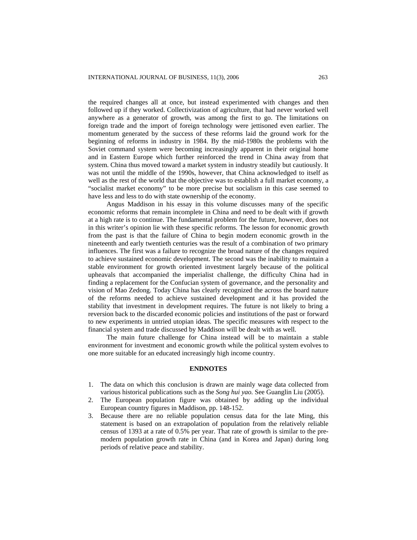the required changes all at once, but instead experimented with changes and then followed up if they worked. Collectivization of agriculture, that had never worked well anywhere as a generator of growth, was among the first to go. The limitations on foreign trade and the import of foreign technology were jettisoned even earlier. The momentum generated by the success of these reforms laid the ground work for the beginning of reforms in industry in 1984. By the mid-1980s the problems with the Soviet command system were becoming increasingly apparent in their original home and in Eastern Europe which further reinforced the trend in China away from that system. China thus moved toward a market system in industry steadily but cautiously. It was not until the middle of the 1990s, however, that China acknowledged to itself as well as the rest of the world that the objective was to establish a full market economy, a "socialist market economy" to be more precise but socialism in this case seemed to have less and less to do with state ownership of the economy.

Angus Maddison in his essay in this volume discusses many of the specific economic reforms that remain incomplete in China and need to be dealt with if growth at a high rate is to continue. The fundamental problem for the future, however, does not in this writer's opinion lie with these specific reforms. The lesson for economic growth from the past is that the failure of China to begin modern economic growth in the nineteenth and early twentieth centuries was the result of a combination of two primary influences. The first was a failure to recognize the broad nature of the changes required to achieve sustained economic development. The second was the inability to maintain a stable environment for growth oriented investment largely because of the political upheavals that accompanied the imperialist challenge, the difficulty China had in finding a replacement for the Confucian system of governance, and the personality and vision of Mao Zedong. Today China has clearly recognized the across the board nature of the reforms needed to achieve sustained development and it has provided the stability that investment in development requires. The future is not likely to bring a reversion back to the discarded economic policies and institutions of the past or forward to new experiments in untried utopian ideas. The specific measures with respect to the financial system and trade discussed by Maddison will be dealt with as well.

The main future challenge for China instead will be to maintain a stable environment for investment and economic growth while the political system evolves to one more suitable for an educated increasingly high income country.

#### **ENDNOTES**

- 1. The data on which this conclusion is drawn are mainly wage data collected from various historical publications such as the *Song hui yao.* See Guanglin Liu (2005).
- 2. The European population figure was obtained by adding up the individual European country figures in Maddison, pp. 148-152.
- 3. Because there are no reliable population census data for the late Ming, this statement is based on an extrapolation of population from the relatively reliable census of 1393 at a rate of 0.5% per year. That rate of growth is similar to the premodern population growth rate in China (and in Korea and Japan) during long periods of relative peace and stability.